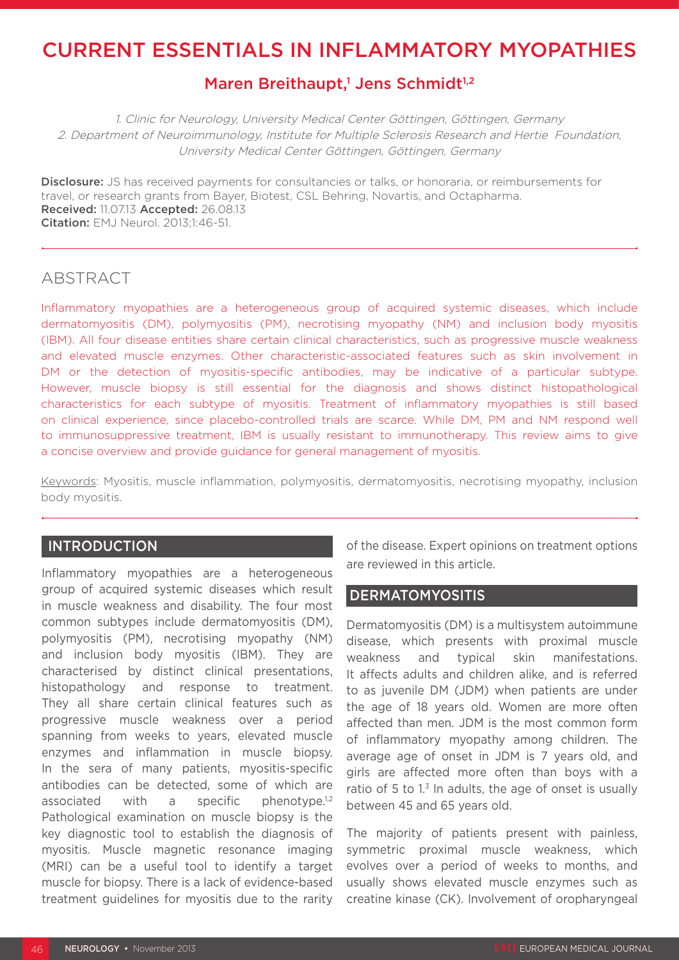# CURRENT ESSENTIALS IN INFLAMMATORY MYOPATHIES

# Maren Breithaupt,<sup>1</sup> Jens Schmidt<sup>1,2</sup>

1. Clinic for Neurology, University Medical Center Göttingen, Göttingen, Germany 2. Department of Neuroimmunology, Institute for Multiple Sclerosis Research and Hertie Foundation, University Medical Center Göttingen, Göttingen, Germany

Disclosure: JS has received payments for consultancies or talks, or honoraria, or reimbursements for travel, or research grants from Bayer, Biotest, CSL Behring, Novartis, and Octapharma. Received: 11.07.13 Accepted: 26.08.13 Citation: EMJ Neurol. 2013;1:46-51.

## ABSTRACT

Inflammatory myopathies are a heterogeneous group of acquired systemic diseases, which include dermatomyositis (DM), polymyositis (PM), necrotising myopathy (NM) and inclusion body myositis (IBM). All four disease entities share certain clinical characteristics, such as progressive muscle weakness and elevated muscle enzymes. Other characteristic-associated features such as skin involvement in DM or the detection of myositis-specific antibodies, may be indicative of a particular subtype. However, muscle biopsy is still essential for the diagnosis and shows distinct histopathological characteristics for each subtype of myositis. Treatment of inflammatory myopathies is still based on clinical experience, since placebo-controlled trials are scarce. While DM, PM and NM respond well to immunosuppressive treatment, IBM is usually resistant to immunotherapy. This review aims to give a concise overview and provide guidance for general management of myositis.

Keywords: Myositis, muscle inflammation, polymyositis, dermatomyositis, necrotising myopathy, inclusion body myositis.

## **INTRODUCTION**

Inflammatory myopathies are a heterogeneous group of acquired systemic diseases which result in muscle weakness and disability. The four most common subtypes include dermatomyositis (DM), polymyositis (PM), necrotising myopathy (NM) and inclusion body myositis (IBM). They are characterised by distinct clinical presentations, histopathology and response to treatment. They all share certain clinical features such as progressive muscle weakness over a period spanning from weeks to years, elevated muscle enzymes and inflammation in muscle biopsy. In the sera of many patients, myositis-specific antibodies can be detected, some of which are associated with a specific phenotype.<sup>1,2</sup> Pathological examination on muscle biopsy is the key diagnostic tool to establish the diagnosis of myositis. Muscle magnetic resonance imaging (MRI) can be a useful tool to identify a target muscle for biopsy. There is a lack of evidence-based treatment guidelines for myositis due to the rarity

of the disease. Expert opinions on treatment options are reviewed in this article.

#### **DERMATOMYOSITIS**

Dermatomyositis (DM) is a multisystem autoimmune disease, which presents with proximal muscle weakness and typical skin manifestations. It affects adults and children alike, and is referred to as juvenile DM (JDM) when patients are under the age of 18 years old. Women are more often affected than men. JDM is the most common form of inflammatory myopathy among children. The average age of onset in JDM is 7 years old, and girls are affected more often than boys with a ratio of 5 to  $1<sup>3</sup>$  In adults, the age of onset is usually between 45 and 65 years old.

The majority of patients present with painless, symmetric proximal muscle weakness, which evolves over a period of weeks to months, and usually shows elevated muscle enzymes such as creatine kinase (CK). Involvement of oropharyngeal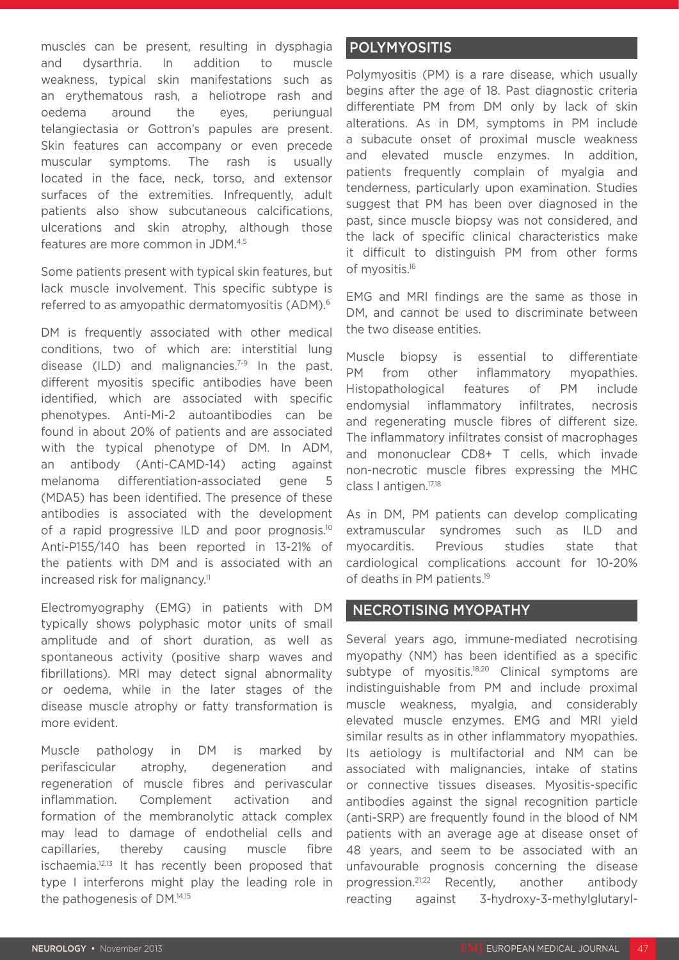muscles can be present, resulting in dysphagia and dysarthria. In addition to muscle weakness, typical skin manifestations such as an erythematous rash, a heliotrope rash and oedema around the eyes, periungual telangiectasia or Gottron's papules are present. Skin features can accompany or even precede muscular symptoms. The rash is usually located in the face, neck, torso, and extensor surfaces of the extremities. Infrequently, adult patients also show subcutaneous calcifications, ulcerations and skin atrophy, although those features are more common in JDM.4,5

Some patients present with typical skin features, but lack muscle involvement. This specific subtype is referred to as amyopathic dermatomyositis (ADM).6

DM is frequently associated with other medical conditions, two of which are: interstitial lung disease (ILD) and malignancies.<sup>7-9</sup> In the past, different myositis specific antibodies have been identified, which are associated with specific phenotypes. Anti-Mi-2 autoantibodies can be found in about 20% of patients and are associated with the typical phenotype of DM. In ADM, an antibody (Anti-CAMD-14) acting against melanoma differentiation-associated gene 5 (MDA5) has been identified. The presence of these antibodies is associated with the development of a rapid progressive ILD and poor prognosis.<sup>10</sup> Anti-P155/140 has been reported in 13-21% of the patients with DM and is associated with an increased risk for malignancy.<sup>11</sup>

Electromyography (EMG) in patients with DM typically shows polyphasic motor units of small amplitude and of short duration, as well as spontaneous activity (positive sharp waves and fibrillations). MRI may detect signal abnormality or oedema, while in the later stages of the disease muscle atrophy or fatty transformation is more evident.

Muscle pathology in DM is marked by perifascicular atrophy, degeneration and regeneration of muscle fibres and perivascular inflammation. Complement activation and formation of the membranolytic attack complex may lead to damage of endothelial cells and capillaries, thereby causing muscle fibre ischaemia.<sup>12,13</sup> It has recently been proposed that type I interferons might play the leading role in the pathogenesis of DM.14,15

## POLYMYOSITIS

Polymyositis (PM) is a rare disease, which usually begins after the age of 18. Past diagnostic criteria differentiate PM from DM only by lack of skin alterations. As in DM, symptoms in PM include a subacute onset of proximal muscle weakness and elevated muscle enzymes. In addition, patients frequently complain of myalgia and tenderness, particularly upon examination. Studies suggest that PM has been over diagnosed in the past, since muscle biopsy was not considered, and the lack of specific clinical characteristics make it difficult to distinguish PM from other forms of myositis.16

EMG and MRI findings are the same as those in DM, and cannot be used to discriminate between the two disease entities.

Muscle biopsy is essential to differentiate PM from other inflammatory myopathies. Histopathological features of PM include endomysial inflammatory infiltrates, necrosis and regenerating muscle fibres of different size. The inflammatory infiltrates consist of macrophages and mononuclear CD8+ T cells, which invade non-necrotic muscle fibres expressing the MHC class I antigen.17,18

As in DM, PM patients can develop complicating extramuscular syndromes such as ILD and myocarditis. Previous studies state that cardiological complications account for 10-20% of deaths in PM patients.19

#### NECROTISING MYOPATHY

Several years ago, immune-mediated necrotising myopathy (NM) has been identified as a specific subtype of myositis.<sup>18,20</sup> Clinical symptoms are indistinguishable from PM and include proximal muscle weakness, myalgia, and considerably elevated muscle enzymes. EMG and MRI yield similar results as in other inflammatory myopathies. Its aetiology is multifactorial and NM can be associated with malignancies, intake of statins or connective tissues diseases. Myositis-specific antibodies against the signal recognition particle (anti-SRP) are frequently found in the blood of NM patients with an average age at disease onset of 48 years, and seem to be associated with an unfavourable prognosis concerning the disease progression.21,22 Recently, another antibody reacting against 3-hydroxy-3-methylglutaryl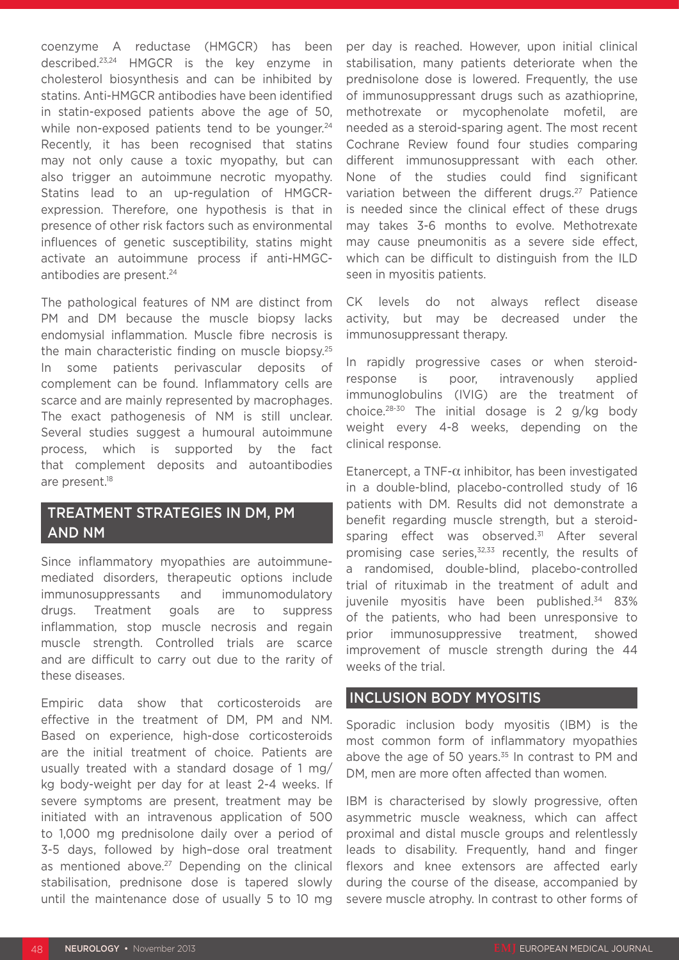coenzyme A reductase (HMGCR) has been described.23,24 HMGCR is the key enzyme in cholesterol biosynthesis and can be inhibited by statins. Anti-HMGCR antibodies have been identified in statin-exposed patients above the age of 50, while non-exposed patients tend to be younger. $24$ Recently, it has been recognised that statins may not only cause a toxic myopathy, but can also trigger an autoimmune necrotic myopathy. Statins lead to an up-regulation of HMGCRexpression. Therefore, one hypothesis is that in presence of other risk factors such as environmental influences of genetic susceptibility, statins might activate an autoimmune process if anti-HMGCantibodies are present.<sup>24</sup>

The pathological features of NM are distinct from PM and DM because the muscle biopsy lacks endomysial inflammation. Muscle fibre necrosis is the main characteristic finding on muscle biopsy.25 In some patients perivascular deposits of complement can be found. Inflammatory cells are scarce and are mainly represented by macrophages. The exact pathogenesis of NM is still unclear. Several studies suggest a humoural autoimmune process, which is supported by the fact that complement deposits and autoantibodies are present.<sup>18</sup>

# TREATMENT STRATEGIES IN DM, PM AND NM

Since inflammatory myopathies are autoimmunemediated disorders, therapeutic options include immunosuppressants and immunomodulatory drugs. Treatment goals are to suppress inflammation, stop muscle necrosis and regain muscle strength. Controlled trials are scarce and are difficult to carry out due to the rarity of these diseases.

Empiric data show that corticosteroids are effective in the treatment of DM, PM and NM. Based on experience, high-dose corticosteroids are the initial treatment of choice. Patients are usually treated with a standard dosage of 1 mg/ kg body-weight per day for at least 2-4 weeks. If severe symptoms are present, treatment may be initiated with an intravenous application of 500 to 1,000 mg prednisolone daily over a period of 3-5 days, followed by high–dose oral treatment as mentioned above.<sup>27</sup> Depending on the clinical stabilisation, prednisone dose is tapered slowly until the maintenance dose of usually 5 to 10 mg per day is reached. However, upon initial clinical stabilisation, many patients deteriorate when the prednisolone dose is lowered. Frequently, the use of immunosuppressant drugs such as azathioprine, methotrexate or mycophenolate mofetil, are needed as a steroid-sparing agent. The most recent Cochrane Review found four studies comparing different immunosuppressant with each other. None of the studies could find significant variation between the different drugs.<sup>27</sup> Patience is needed since the clinical effect of these drugs may takes 3-6 months to evolve. Methotrexate may cause pneumonitis as a severe side effect, which can be difficult to distinguish from the ILD seen in myositis patients.

CK levels do not always reflect disease activity, but may be decreased under the immunosuppressant therapy.

In rapidly progressive cases or when steroidresponse is poor, intravenously applied immunoglobulins (IVIG) are the treatment of choice.28-30 The initial dosage is 2 g/kg body weight every 4-8 weeks, depending on the clinical response.

Etanercept, a TNF- $\alpha$  inhibitor, has been investigated in a double-blind, placebo-controlled study of 16 patients with DM. Results did not demonstrate a benefit regarding muscle strength, but a steroidsparing effect was observed.<sup>31</sup> After several promising case series, $32,33$  recently, the results of a randomised, double-blind, placebo-controlled trial of rituximab in the treatment of adult and juvenile myositis have been published.34 83% of the patients, who had been unresponsive to prior immunosuppressive treatment, showed improvement of muscle strength during the 44 weeks of the trial.

## INCLUSION BODY MYOSITIS

Sporadic inclusion body myositis (IBM) is the most common form of inflammatory myopathies above the age of 50 years. $35$  In contrast to PM and DM, men are more often affected than women.

IBM is characterised by slowly progressive, often asymmetric muscle weakness, which can affect proximal and distal muscle groups and relentlessly leads to disability. Frequently, hand and finger flexors and knee extensors are affected early during the course of the disease, accompanied by severe muscle atrophy. In contrast to other forms of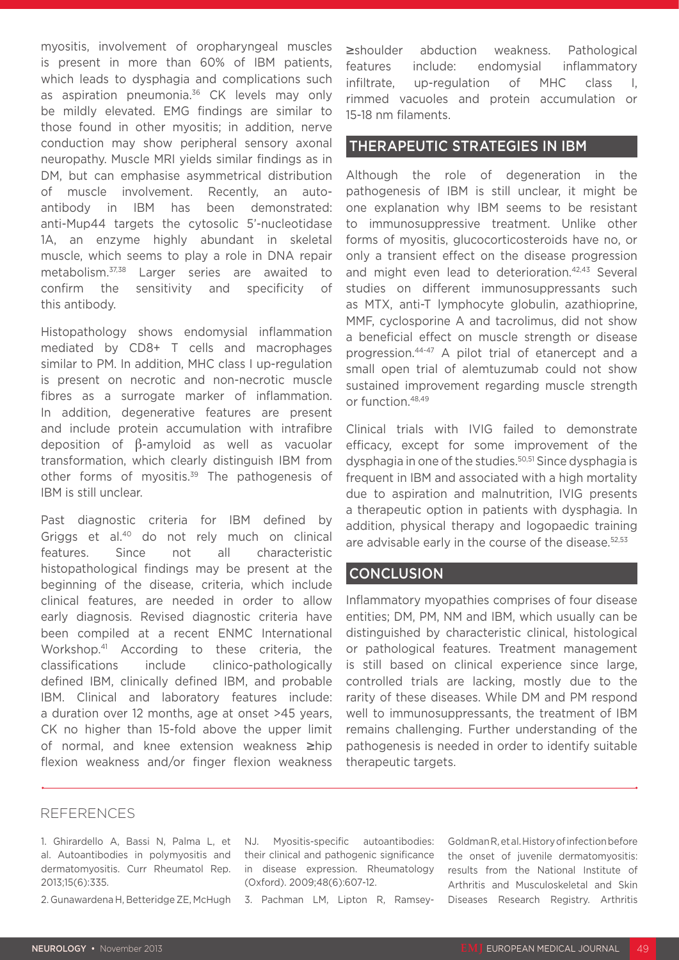myositis, involvement of oropharyngeal muscles is present in more than 60% of IBM patients, which leads to dysphagia and complications such as aspiration pneumonia.<sup>36</sup> CK levels may only be mildly elevated. EMG findings are similar to those found in other myositis; in addition, nerve conduction may show peripheral sensory axonal neuropathy. Muscle MRI yields similar findings as in DM, but can emphasise asymmetrical distribution of muscle involvement. Recently, an autoantibody in IBM has been demonstrated: anti-Mup44 targets the cytosolic 5'-nucleotidase 1A, an enzyme highly abundant in skeletal muscle, which seems to play a role in DNA repair metabolism.37,38 Larger series are awaited to confirm the sensitivity and specificity of this antibody.

Histopathology shows endomysial inflammation mediated by CD8+ T cells and macrophages similar to PM. In addition, MHC class I up-regulation is present on necrotic and non-necrotic muscle fibres as a surrogate marker of inflammation. In addition, degenerative features are present and include protein accumulation with intrafibre deposition of β-amyloid as well as vacuolar transformation, which clearly distinguish IBM from other forms of myositis.39 The pathogenesis of IBM is still unclear.

Past diagnostic criteria for IBM defined by Griggs et al.40 do not rely much on clinical features. Since not all characteristic histopathological findings may be present at the beginning of the disease, criteria, which include clinical features, are needed in order to allow early diagnosis. Revised diagnostic criteria have been compiled at a recent ENMC International Workshop.41 According to these criteria, the classifications include clinico-pathologically defined IBM, clinically defined IBM, and probable IBM. Clinical and laboratory features include: a duration over 12 months, age at onset >45 years, CK no higher than 15-fold above the upper limit of normal, and knee extension weakness ≥hip flexion weakness and/or finger flexion weakness

≥shoulder abduction weakness. Pathological features include: endomysial inflammatory infiltrate, up-regulation of MHC class I, rimmed vacuoles and protein accumulation or 15-18 nm filaments.

## THERAPEUTIC STRATEGIES IN IBM

Although the role of degeneration in the pathogenesis of IBM is still unclear, it might be one explanation why IBM seems to be resistant to immunosuppressive treatment. Unlike other forms of myositis, glucocorticosteroids have no, or only a transient effect on the disease progression and might even lead to deterioration.<sup>42,43</sup> Several studies on different immunosuppressants such as MTX, anti-T lymphocyte globulin, azathioprine, MMF, cyclosporine A and tacrolimus, did not show a beneficial effect on muscle strength or disease progression.44-47 A pilot trial of etanercept and a small open trial of alemtuzumab could not show sustained improvement regarding muscle strength or function.48,49

Clinical trials with IVIG failed to demonstrate efficacy, except for some improvement of the dysphagia in one of the studies.<sup>50,51</sup> Since dysphagia is frequent in IBM and associated with a high mortality due to aspiration and malnutrition, IVIG presents a therapeutic option in patients with dysphagia. In addition, physical therapy and logopaedic training are advisable early in the course of the disease.<sup>52,53</sup>

#### **CONCLUSION**

Inflammatory myopathies comprises of four disease entities; DM, PM, NM and IBM, which usually can be distinguished by characteristic clinical, histological or pathological features. Treatment management is still based on clinical experience since large, controlled trials are lacking, mostly due to the rarity of these diseases. While DM and PM respond well to immunosuppressants, the treatment of IBM remains challenging. Further understanding of the pathogenesis is needed in order to identify suitable therapeutic targets.

#### REFERENCES

1. Ghirardello A, Bassi N, Palma L, et al. Autoantibodies in polymyositis and dermatomyositis. Curr Rheumatol Rep. 2013;15(6):335.

2. Gunawardena H, Betteridge ZE, McHugh

NJ. Myositis-specific autoantibodies: their clinical and pathogenic significance in disease expression. Rheumatology (Oxford). 2009;48(6):607-12.

3. Pachman LM, Lipton R, Ramsey-

Goldman R, et al. History of infection before the onset of juvenile dermatomyositis: results from the National Institute of Arthritis and Musculoskeletal and Skin Diseases Research Registry. Arthritis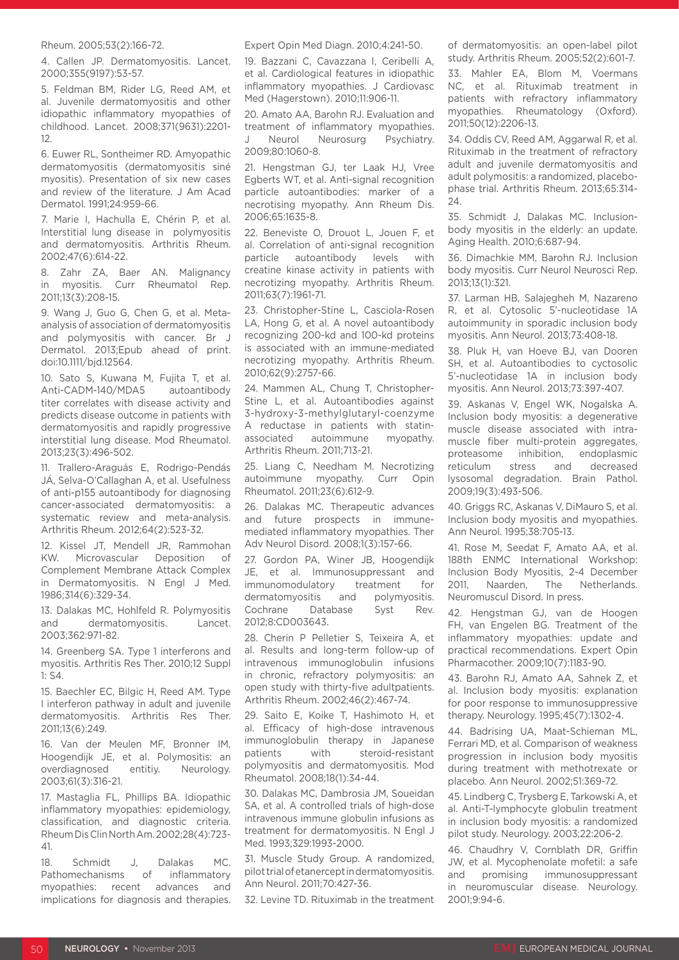#### Rheum. 2005;53(2):166-72.

4. Callen JP. Dermatomyositis. Lancet. 2000;355(9197):53-57.

5. Feldman BM, Rider LG, Reed AM, et al. Juvenile dermatomyositis and other idiopathic inflammatory myopathies of childhood. Lancet. 2008;371(9631):2201- 12.

6. Euwer RL, Sontheimer RD. Amyopathic dermatomyositis (dermatomyositis siné myositis). Presentation of six new cases and review of the literature. J Am Acad Dermatol. 1991;24:959-66.

7. Marie I, Hachulla E, Chérin P, et al. Interstitial lung disease in polymyositis and dermatomyositis. Arthritis Rheum. 2002;47(6):614-22.

8. Zahr ZA, Baer AN. Malignancy in myositis. Curr Rheumatol Rep. 2011;13(3):208-15.

9. Wang J, Guo G, Chen G, et al. Metaanalysis of association of dermatomyositis and polymyositis with cancer. Br J Dermatol. 2013;Epub ahead of print. doi:10.1111/bjd.12564.

10. Sato S, Kuwana M, Fujita T, et al. Anti-CADM-140/MDA5 autoantibody titer correlates with disease activity and predicts disease outcome in patients with dermatomyositis and rapidly progressive interstitial lung disease. Mod Rheumatol. 2013;23(3):496-502.

11. Trallero-Araguás E, Rodrigo-Pendás JÁ, Selva-O'Callaghan A, et al. Usefulness of anti-p155 autoantibody for diagnosing cancer-associated dermatomyositis: a systematic review and meta-analysis. Arthritis Rheum. 2012;64(2):523-32.

12. Kissel JT, Mendell JR, Rammohan KW. Microvascular Deposition of Complement Membrane Attack Complex in Dermatomyositis. N Engl J Med. 1986;314(6):329-34.

13. Dalakas MC, Hohlfeld R. Polymyositis and dermatomyositis. Lancet. 2003;362:971-82.

14. Greenberg SA. Type 1 interferons and myositis. Arthritis Res Ther. 2010;12 Suppl 1: S4.

15. Baechler EC, Bilgic H, Reed AM. Type I interferon pathway in adult and juvenile dermatomyositis. Arthritis Res Ther. 2011;13(6):249.

16. Van der Meulen MF, Bronner IM, Hoogendijk JE, et al. Polymositis: an overdiagnosed entitiy. Neurology. 2003;61(3):316-21.

17. Mastaglia FL, Phillips BA. Idiopathic inflammatory myopathies: epidemiology, classification, and diagnostic criteria. Rheum Dis Clin North Am. 2002;28(4):723- 41.

18. Schmidt J, Dalakas MC. Pathomechanisms of inflammatory myopathies: recent advances and implications for diagnosis and therapies.

#### Expert Opin Med Diagn. 2010;4:241-50.

19. Bazzani C, Cavazzana I, Ceribelli A, et al. Cardiological features in idiopathic inflammatory myopathies. J Cardiovasc Med (Hagerstown). 2010;11:906-11.

20. Amato AA, Barohn RJ. Evaluation and treatment of inflammatory myopathies. J Neurol Neurosurg Psychiatry. 2009;80:1060-8.

21. Hengstman GJ, ter Laak HJ, Vree Egberts WT, et al. Anti-signal recognition particle autoantibodies: marker of a necrotising myopathy. Ann Rheum Dis. 2006;65:1635-8.

22. Beneviste O, Drouot L, Jouen F, et al. Correlation of anti-signal recognition particle autoantibody levels with creatine kinase activity in patients with necrotizing myopathy. Arthritis Rheum. 2011;63(7):1961-71.

23. Christopher-Stine L, Casciola-Rosen LA, Hong G, et al. A novel autoantibody recognizing 200-kd and 100-kd proteins is associated with an immune-mediated necrotizing myopathy. Arthritis Rheum. 2010;62(9):2757-66.

24. Mammen AL, Chung T, Christopher-Stine L, et al. Autoantibodies against 3-hydroxy-3-methylglutaryl-coenzyme A reductase in patients with statinassociated autoimmune myopathy. Arthritis Rheum. 2011;713-21.

25. Liang C, Needham M. Necrotizing autoimmune myopathy. Curr Opin Rheumatol. 2011;23(6):612-9.

26. Dalakas MC. Therapeutic advances and future prospects in immunemediated inflammatory myopathies. Ther Adv Neurol Disord. 2008;1(3):157-66.

27. Gordon PA, Winer JB, Hoogendijk JE, et al. Immunosuppressant and immunomodulatory treatment for dermatomyositis and polymyositis. Cochrane Database Syst Rev. 2012;8:CD003643.

28. Cherin P Pelletier S, Teixeira A, et al. Results and long-term follow-up of intravenous immunoglobulin infusions in chronic, refractory polymyositis: an open study with thirty-five adultpatients. Arthritis Rheum. 2002;46(2):467-74.

29. Saito E, Koike T, Hashimoto H, et al. Efficacy of high-dose intravenous immunoglobulin therapy in Japanese patients with steroid-resistant polymyositis and dermatomyositis. Mod Rheumatol. 2008;18(1):34-44.

30. Dalakas MC, Dambrosia JM, Soueidan SA, et al. A controlled trials of high-dose intravenous immune globulin infusions as treatment for dermatomyositis. N Engl J Med. 1993;329:1993-2000.

31. Muscle Study Group. A randomized, pilot trial of etanercept in dermatomyositis. Ann Neurol. 2011;70:427-36.

32. Levine TD. Rituximab in the treatment

of dermatomyositis: an open-label pilot study. Arthritis Rheum. 2005;52(2):601-7.

33. Mahler EA, Blom M, Voermans NC, et al. Rituximab treatment in patients with refractory inflammatory myopathies. Rheumatology (Oxford). 2011;50(12):2206-13.

34. Oddis CV, Reed AM, Aggarwal R, et al. Rituximab in the treatment of refractory adult and juvenile dermatomyositis and adult polymositis: a randomized, placebophase trial. Arthritis Rheum. 2013;65:314- 24.

35. Schmidt J, Dalakas MC. Inclusionbody myositis in the elderly: an update. Aging Health. 2010;6:687-94.

36. Dimachkie MM, Barohn RJ. Inclusion body myositis. Curr Neurol Neurosci Rep. 2013;13(1):321.

37. Larman HB, Salajegheh M, Nazareno R, et al. Cytosolic 5'-nucleotidase 1A autoimmunity in sporadic inclusion body myositis. Ann Neurol. 2013;73:408-18.

38. Pluk H, van Hoeve BJ, van Dooren SH, et al. Autoantibodies to cyctosolic 5'-nucleotidase 1A in inclusion body myositis. Ann Neurol. 2013;73:397-407.

39. Askanas V, Engel WK, Nogalska A. Inclusion body myositis: a degenerative muscle disease associated with intramuscle fiber multi-protein aggregates, proteasome inhibition, endoplasmic reticulum stress and decreased lysosomal degradation. Brain Pathol. 2009;19(3):493-506.

40. Griggs RC, Askanas V, DiMauro S, et al. Inclusion body myositis and myopathies. Ann Neurol. 1995;38:705-13.

41. Rose M, Seedat F, Amato AA, et al. 188th ENMC International Workshop: Inclusion Body Myositis, 2-4 December 2011, Naarden, The Netherlands. Neuromuscul Disord. In press.

42. Hengstman GJ, van de Hoogen FH, van Engelen BG. Treatment of the inflammatory myopathies: update and practical recommendations. Expert Opin Pharmacother. 2009;10(7):1183-90.

43. Barohn RJ, Amato AA, Sahnek Z, et al. Inclusion body myositis: explanation for poor response to immunosuppressive therapy. Neurology. 1995;45(7):1302-4.

44. Badrising UA, Maat-Schieman ML, Ferrari MD, et al. Comparison of weakness progression in inclusion body myositis during treatment with methotrexate or placebo. Ann Neurol. 2002;51:369-72.

45. Lindberg C, Trysberg E, Tarkowski A, et al. Anti-T-lymphocyte globulin treatment in inclusion body myositis: a randomized pilot study. Neurology. 2003;22:206-2.

46. Chaudhry V, Cornblath DR, Griffin JW, et al. Mycophenolate mofetil: a safe and promising immunosuppressant in neuromuscular disease. Neurology. 2001;9:94-6.